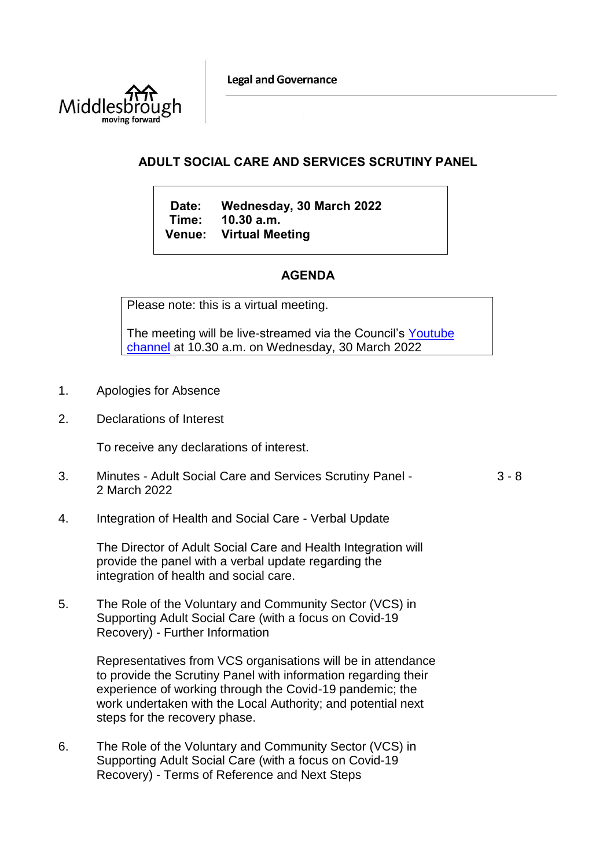**Legal and Governance** 



## **ADULT SOCIAL CARE AND SERVICES SCRUTINY PANEL**

**Date: Wednesday, 30 March 2022 Time: 10.30 a.m. Venue: Virtual Meeting**

## **AGENDA**

Please note: this is a virtual meeting.

The meeting will be live-streamed via the Council's [Youtube](https://www.youtube.com/user/middlesboroughcouncil)  [channel](https://www.youtube.com/user/middlesboroughcouncil) at 10.30 a.m. on Wednesday, 30 March 2022

- 1. Apologies for Absence
- 2. Declarations of Interest

To receive any declarations of interest.

- 3. Minutes Adult Social Care and Services Scrutiny Panel 2 March 2022 3 - 8
- 4. Integration of Health and Social Care Verbal Update

The Director of Adult Social Care and Health Integration will provide the panel with a verbal update regarding the integration of health and social care.

5. The Role of the Voluntary and Community Sector (VCS) in Supporting Adult Social Care (with a focus on Covid-19 Recovery) - Further Information

> Representatives from VCS organisations will be in attendance to provide the Scrutiny Panel with information regarding their experience of working through the Covid-19 pandemic; the work undertaken with the Local Authority; and potential next steps for the recovery phase.

6. The Role of the Voluntary and Community Sector (VCS) in Supporting Adult Social Care (with a focus on Covid-19 Recovery) - Terms of Reference and Next Steps